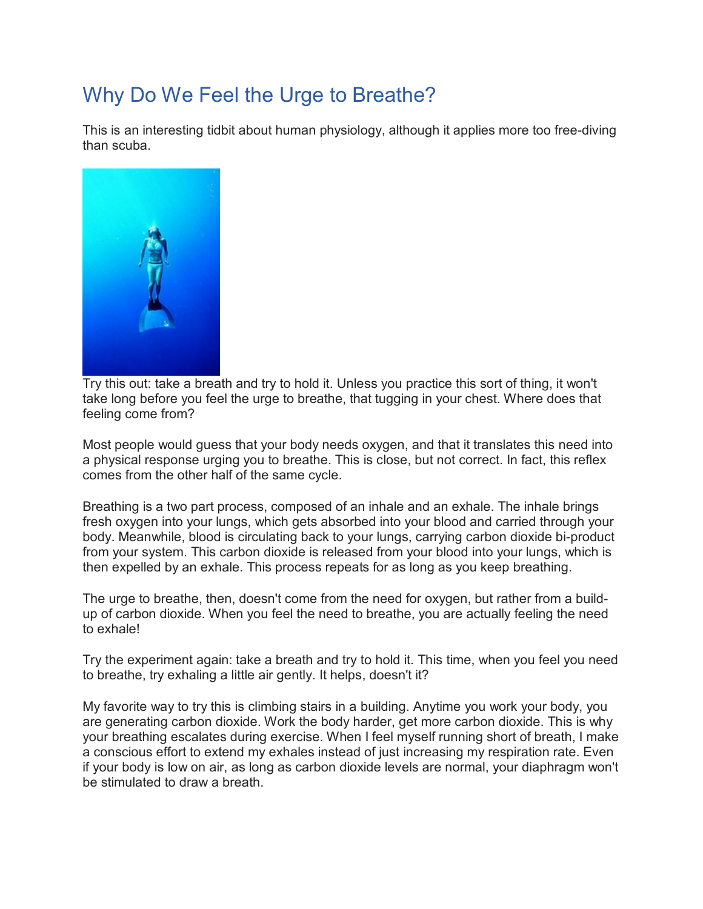## Why Do We Feel the Urge to Breathe?

This is an interesting tidbit about human physiology, although it applies more too free-diving than scuba.



Try this out: take a breath and try to hold it. Unless you practice this sort of thing, it won't take long before you feel the urge to breathe, that tugging in your chest. Where does that feeling come from?

Most people would guess that your body needs oxygen, and that it translates this need into a physical response urging you to breathe. This is close, but not correct. In fact, this reflex comes from the other half of the same cycle.

Breathing is a two part process, composed of an inhale and an exhale. The inhale brings fresh oxygen into your lungs, which gets absorbed into your blood and carried through your body. Meanwhile, blood is circulating back to your lungs, carrying carbon dioxide bi-product from your system. This carbon dioxide is released from your blood into your lungs, which is then expelled by an exhale. This process repeats for as long as you keep breathing.

The urge to breathe, then, doesn't come from the need for oxygen, but rather from a buildup of carbon dioxide. When you feel the need to breathe, you are actually feeling the need to exhale!

Try the experiment again: take a breath and try to hold it. This time, when you feel you need to breathe, try exhaling a little air gently. It helps, doesn't it?

My favorite way to try this is climbing stairs in a building. Anytime you work your body, you are generating carbon dioxide. Work the body harder, get more carbon dioxide. This is why your breathing escalates during exercise. When I feel myself running short of breath, I make a conscious effort to extend my exhales instead of just increasing my respiration rate. Even if your body is low on air, as long as carbon dioxide levels are normal, your diaphragm won't be stimulated to draw a breath.